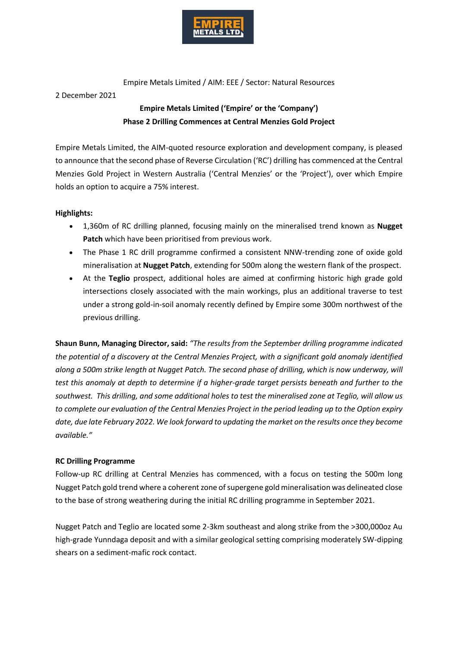

Empire Metals Limited / AIM: EEE / Sector: Natural Resources

2 December 2021

# **Empire Metals Limited ('Empire' or the 'Company') Phase 2 Drilling Commences at Central Menzies Gold Project**

Empire Metals Limited, the AIM-quoted resource exploration and development company, is pleased to announce that the second phase of Reverse Circulation ('RC') drilling has commenced at the Central Menzies Gold Project in Western Australia ('Central Menzies' or the 'Project'), over which Empire holds an option to acquire a 75% interest.

## **Highlights:**

- 1,360m of RC drilling planned, focusing mainly on the mineralised trend known as **Nugget Patch** which have been prioritised from previous work.
- The Phase 1 RC drill programme confirmed a consistent NNW-trending zone of oxide gold mineralisation at **Nugget Patch**, extending for 500m along the western flank of the prospect.
- At the **Teglio** prospect, additional holes are aimed at confirming historic high grade gold intersections closely associated with the main workings, plus an additional traverse to test under a strong gold-in-soil anomaly recently defined by Empire some 300m northwest of the previous drilling.

**Shaun Bunn, Managing Director, said:** *"The results from the September drilling programme indicated the potential of a discovery at the Central Menzies Project, with a significant gold anomaly identified along a 500m strike length at Nugget Patch. The second phase of drilling, which is now underway, will test this anomaly at depth to determine if a higher-grade target persists beneath and further to the southwest. This drilling, and some additional holes to test the mineralised zone at Teglio, will allow us to complete our evaluation of the Central Menzies Project in the period leading up to the Option expiry date, due late February 2022. We look forward to updating the market on the results once they become available."* 

## **RC Drilling Programme**

Follow-up RC drilling at Central Menzies has commenced, with a focus on testing the 500m long Nugget Patch gold trend where a coherent zone of supergene gold mineralisation was delineated close to the base of strong weathering during the initial RC drilling programme in September 2021.

Nugget Patch and Teglio are located some 2-3km southeast and along strike from the >300,000oz Au high-grade Yunndaga deposit and with a similar geological setting comprising moderately SW-dipping shears on a sediment-mafic rock contact.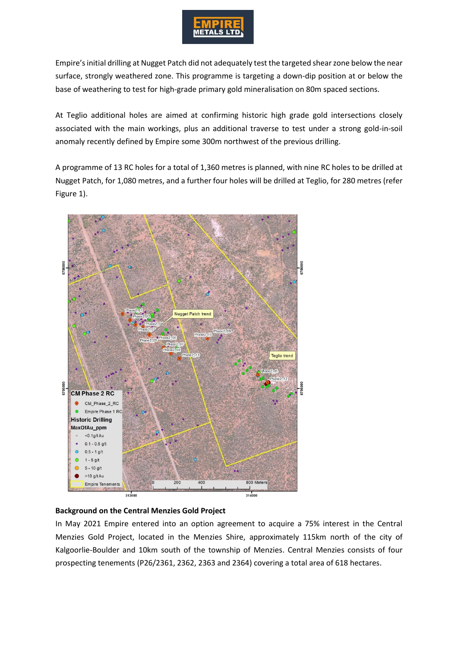

Empire's initial drilling at Nugget Patch did not adequately test the targeted shear zone below the near surface, strongly weathered zone. This programme is targeting a down-dip position at or below the base of weathering to test for high-grade primary gold mineralisation on 80m spaced sections.

At Teglio additional holes are aimed at confirming historic high grade gold intersections closely associated with the main workings, plus an additional traverse to test under a strong gold-in-soil anomaly recently defined by Empire some 300m northwest of the previous drilling.

A programme of 13 RC holes for a total of 1,360 metres is planned, with nine RC holes to be drilled at Nugget Patch, for 1,080 metres, and a further four holes will be drilled at Teglio, for 280 metres (refer Figure 1).



## **Background on the Central Menzies Gold Project**

In May 2021 Empire entered into an option agreement to acquire a 75% interest in the Central Menzies Gold Project, located in the Menzies Shire, approximately 115km north of the city of Kalgoorlie-Boulder and 10km south of the township of Menzies. Central Menzies consists of four prospecting tenements (P26/2361, 2362, 2363 and 2364) covering a total area of 618 hectares.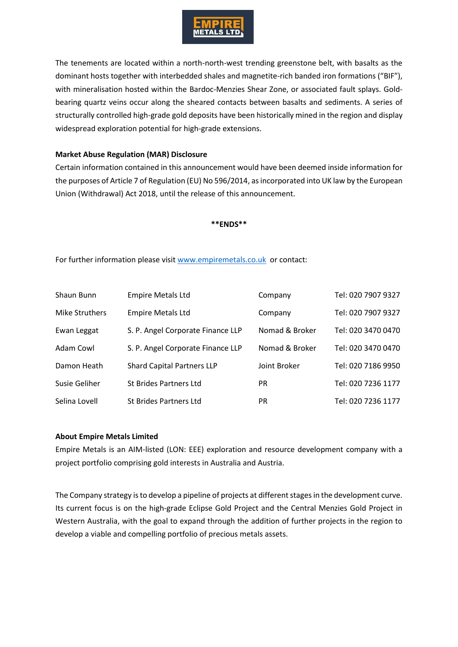

The tenements are located within a north-north-west trending greenstone belt, with basalts as the dominant hosts together with interbedded shales and magnetite-rich banded iron formations ("BIF"), with mineralisation hosted within the Bardoc-Menzies Shear Zone, or associated fault splays. Goldbearing quartz veins occur along the sheared contacts between basalts and sediments. A series of structurally controlled high-grade gold deposits have been historically mined in the region and display widespread exploration potential for high-grade extensions.

#### **Market Abuse Regulation (MAR) Disclosure**

Certain information contained in this announcement would have been deemed inside information for the purposes of Article 7 of Regulation (EU) No 596/2014, as incorporated into UK law by the European Union (Withdrawal) Act 2018, until the release of this announcement.

#### **\*\*ENDS\*\***

For further information please visit [www.empiremetals.co.uk](http://www.empiremetals.co.uk/) or contact:

| Shaun Bunn     | <b>Empire Metals Ltd</b>          | Company        | Tel: 020 7907 9327 |
|----------------|-----------------------------------|----------------|--------------------|
| Mike Struthers | <b>Empire Metals Ltd</b>          | Company        | Tel: 020 7907 9327 |
| Ewan Leggat    | S. P. Angel Corporate Finance LLP | Nomad & Broker | Tel: 020 3470 0470 |
| Adam Cowl      | S. P. Angel Corporate Finance LLP | Nomad & Broker | Tel: 020 3470 0470 |
| Damon Heath    | <b>Shard Capital Partners LLP</b> | Joint Broker   | Tel: 020 7186 9950 |
| Susie Geliher  | St Brides Partners Ltd            | <b>PR</b>      | Tel: 020 7236 1177 |
| Selina Lovell  | St Brides Partners Ltd            | <b>PR</b>      | Tel: 020 7236 1177 |

#### **About Empire Metals Limited**

Empire Metals is an AIM-listed (LON: EEE) exploration and resource development company with a project portfolio comprising gold interests in Australia and Austria.

The Company strategy is to develop a pipeline of projects at different stages in the development curve. Its current focus is on the high-grade Eclipse Gold Project and the Central Menzies Gold Project in Western Australia, with the goal to expand through the addition of further projects in the region to develop a viable and compelling portfolio of precious metals assets.